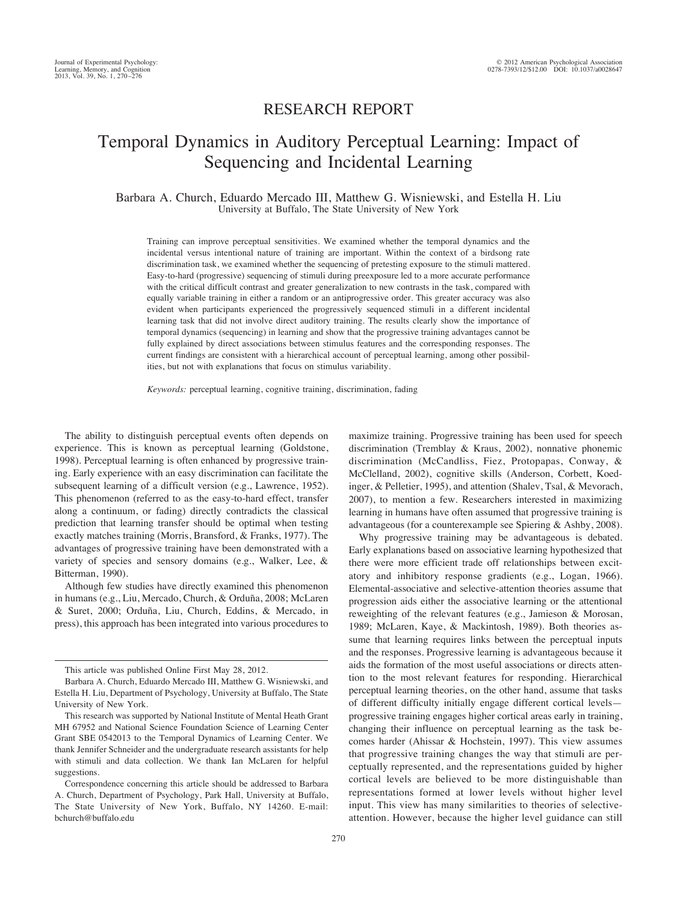# RESEARCH REPORT

# Temporal Dynamics in Auditory Perceptual Learning: Impact of Sequencing and Incidental Learning

Barbara A. Church, Eduardo Mercado III, Matthew G. Wisniewski, and Estella H. Liu University at Buffalo, The State University of New York

Training can improve perceptual sensitivities. We examined whether the temporal dynamics and the incidental versus intentional nature of training are important. Within the context of a birdsong rate discrimination task, we examined whether the sequencing of pretesting exposure to the stimuli mattered. Easy-to-hard (progressive) sequencing of stimuli during preexposure led to a more accurate performance with the critical difficult contrast and greater generalization to new contrasts in the task, compared with equally variable training in either a random or an antiprogressive order. This greater accuracy was also evident when participants experienced the progressively sequenced stimuli in a different incidental learning task that did not involve direct auditory training. The results clearly show the importance of temporal dynamics (sequencing) in learning and show that the progressive training advantages cannot be fully explained by direct associations between stimulus features and the corresponding responses. The current findings are consistent with a hierarchical account of perceptual learning, among other possibilities, but not with explanations that focus on stimulus variability.

*Keywords:* perceptual learning, cognitive training, discrimination, fading

The ability to distinguish perceptual events often depends on experience. This is known as perceptual learning (Goldstone, 1998). Perceptual learning is often enhanced by progressive training. Early experience with an easy discrimination can facilitate the subsequent learning of a difficult version (e.g., Lawrence, 1952). This phenomenon (referred to as the easy-to-hard effect, transfer along a continuum, or fading) directly contradicts the classical prediction that learning transfer should be optimal when testing exactly matches training (Morris, Bransford, & Franks, 1977). The advantages of progressive training have been demonstrated with a variety of species and sensory domains (e.g., Walker, Lee, & Bitterman, 1990).

Although few studies have directly examined this phenomenon in humans (e.g., Liu, Mercado, Church, & Orduña, 2008; McLaren & Suret, 2000; Orduña, Liu, Church, Eddins, & Mercado, in press), this approach has been integrated into various procedures to

maximize training. Progressive training has been used for speech discrimination (Tremblay & Kraus, 2002), nonnative phonemic discrimination (McCandliss, Fiez, Protopapas, Conway, & McClelland, 2002), cognitive skills (Anderson, Corbett, Koedinger, & Pelletier, 1995), and attention (Shalev, Tsal, & Mevorach, 2007), to mention a few. Researchers interested in maximizing learning in humans have often assumed that progressive training is advantageous (for a counterexample see Spiering & Ashby, 2008).

Why progressive training may be advantageous is debated. Early explanations based on associative learning hypothesized that there were more efficient trade off relationships between excitatory and inhibitory response gradients (e.g., Logan, 1966). Elemental-associative and selective-attention theories assume that progression aids either the associative learning or the attentional reweighting of the relevant features (e.g., Jamieson & Morosan, 1989; McLaren, Kaye, & Mackintosh, 1989). Both theories assume that learning requires links between the perceptual inputs and the responses. Progressive learning is advantageous because it aids the formation of the most useful associations or directs attention to the most relevant features for responding. Hierarchical perceptual learning theories, on the other hand, assume that tasks of different difficulty initially engage different cortical levels progressive training engages higher cortical areas early in training, changing their influence on perceptual learning as the task becomes harder (Ahissar & Hochstein, 1997). This view assumes that progressive training changes the way that stimuli are perceptually represented, and the representations guided by higher cortical levels are believed to be more distinguishable than representations formed at lower levels without higher level input. This view has many similarities to theories of selectiveattention. However, because the higher level guidance can still

This article was published Online First May 28, 2012.

Barbara A. Church, Eduardo Mercado III, Matthew G. Wisniewski, and Estella H. Liu, Department of Psychology, University at Buffalo, The State University of New York.

This research was supported by National Institute of Mental Heath Grant MH 67952 and National Science Foundation Science of Learning Center Grant SBE 0542013 to the Temporal Dynamics of Learning Center. We thank Jennifer Schneider and the undergraduate research assistants for help with stimuli and data collection. We thank Ian McLaren for helpful suggestions.

Correspondence concerning this article should be addressed to Barbara A. Church, Department of Psychology, Park Hall, University at Buffalo, The State University of New York, Buffalo, NY 14260. E-mail: bchurch@buffalo.edu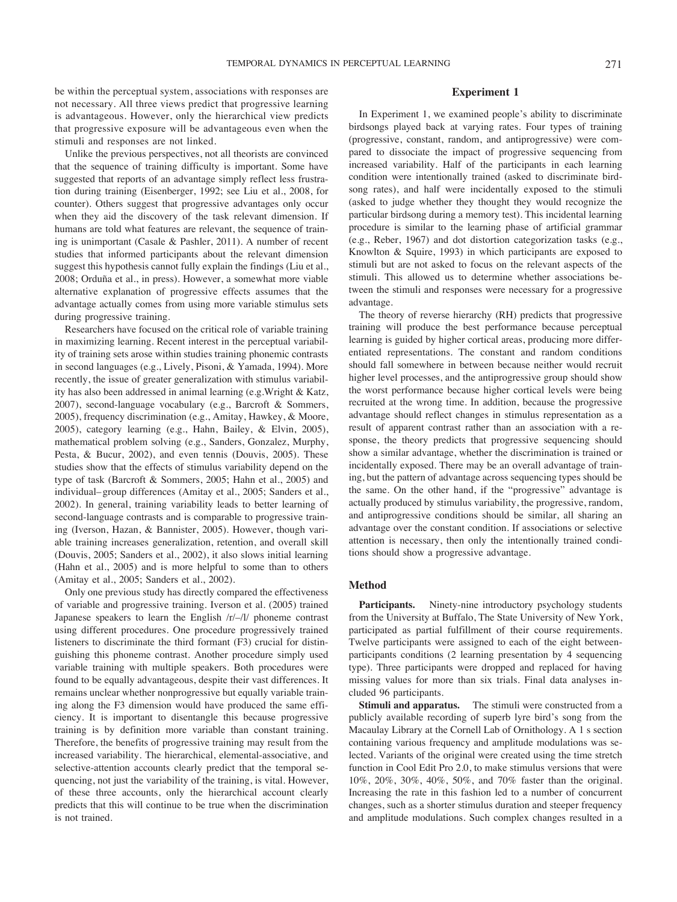be within the perceptual system, associations with responses are not necessary. All three views predict that progressive learning is advantageous. However, only the hierarchical view predicts that progressive exposure will be advantageous even when the stimuli and responses are not linked.

Unlike the previous perspectives, not all theorists are convinced that the sequence of training difficulty is important. Some have suggested that reports of an advantage simply reflect less frustration during training (Eisenberger, 1992; see Liu et al., 2008, for counter). Others suggest that progressive advantages only occur when they aid the discovery of the task relevant dimension. If humans are told what features are relevant, the sequence of training is unimportant (Casale & Pashler, 2011). A number of recent studies that informed participants about the relevant dimension suggest this hypothesis cannot fully explain the findings (Liu et al., 2008; Orduña et al., in press). However, a somewhat more viable alternative explanation of progressive effects assumes that the advantage actually comes from using more variable stimulus sets during progressive training.

Researchers have focused on the critical role of variable training in maximizing learning. Recent interest in the perceptual variability of training sets arose within studies training phonemic contrasts in second languages (e.g., Lively, Pisoni, & Yamada, 1994). More recently, the issue of greater generalization with stimulus variability has also been addressed in animal learning (e.g.Wright & Katz, 2007), second-language vocabulary (e.g., Barcroft & Sommers, 2005), frequency discrimination (e.g., Amitay, Hawkey, & Moore, 2005), category learning (e.g., Hahn, Bailey, & Elvin, 2005), mathematical problem solving (e.g., Sanders, Gonzalez, Murphy, Pesta, & Bucur, 2002), and even tennis (Douvis, 2005). These studies show that the effects of stimulus variability depend on the type of task (Barcroft & Sommers, 2005; Hahn et al., 2005) and individual– group differences (Amitay et al., 2005; Sanders et al., 2002). In general, training variability leads to better learning of second-language contrasts and is comparable to progressive training (Iverson, Hazan, & Bannister, 2005). However, though variable training increases generalization, retention, and overall skill (Douvis, 2005; Sanders et al., 2002), it also slows initial learning (Hahn et al., 2005) and is more helpful to some than to others (Amitay et al., 2005; Sanders et al., 2002).

Only one previous study has directly compared the effectiveness of variable and progressive training. Iverson et al. (2005) trained Japanese speakers to learn the English /r/–/l/ phoneme contrast using different procedures. One procedure progressively trained listeners to discriminate the third formant (F3) crucial for distinguishing this phoneme contrast. Another procedure simply used variable training with multiple speakers. Both procedures were found to be equally advantageous, despite their vast differences. It remains unclear whether nonprogressive but equally variable training along the F3 dimension would have produced the same efficiency. It is important to disentangle this because progressive training is by definition more variable than constant training. Therefore, the benefits of progressive training may result from the increased variability. The hierarchical, elemental-associative, and selective-attention accounts clearly predict that the temporal sequencing, not just the variability of the training, is vital. However, of these three accounts, only the hierarchical account clearly predicts that this will continue to be true when the discrimination is not trained.

# **Experiment 1**

In Experiment 1, we examined people's ability to discriminate birdsongs played back at varying rates. Four types of training (progressive, constant, random, and antiprogressive) were compared to dissociate the impact of progressive sequencing from increased variability. Half of the participants in each learning condition were intentionally trained (asked to discriminate birdsong rates), and half were incidentally exposed to the stimuli (asked to judge whether they thought they would recognize the particular birdsong during a memory test). This incidental learning procedure is similar to the learning phase of artificial grammar (e.g., Reber, 1967) and dot distortion categorization tasks (e.g., Knowlton & Squire, 1993) in which participants are exposed to stimuli but are not asked to focus on the relevant aspects of the stimuli. This allowed us to determine whether associations between the stimuli and responses were necessary for a progressive advantage.

The theory of reverse hierarchy (RH) predicts that progressive training will produce the best performance because perceptual learning is guided by higher cortical areas, producing more differentiated representations. The constant and random conditions should fall somewhere in between because neither would recruit higher level processes, and the antiprogressive group should show the worst performance because higher cortical levels were being recruited at the wrong time. In addition, because the progressive advantage should reflect changes in stimulus representation as a result of apparent contrast rather than an association with a response, the theory predicts that progressive sequencing should show a similar advantage, whether the discrimination is trained or incidentally exposed. There may be an overall advantage of training, but the pattern of advantage across sequencing types should be the same. On the other hand, if the "progressive" advantage is actually produced by stimulus variability, the progressive, random, and antiprogressive conditions should be similar, all sharing an advantage over the constant condition. If associations or selective attention is necessary, then only the intentionally trained conditions should show a progressive advantage.

### **Method**

Participants. Ninety-nine introductory psychology students from the University at Buffalo, The State University of New York, participated as partial fulfillment of their course requirements. Twelve participants were assigned to each of the eight betweenparticipants conditions (2 learning presentation by 4 sequencing type). Three participants were dropped and replaced for having missing values for more than six trials. Final data analyses included 96 participants.

**Stimuli and apparatus.** The stimuli were constructed from a publicly available recording of superb lyre bird's song from the Macaulay Library at the Cornell Lab of Ornithology. A 1 s section containing various frequency and amplitude modulations was selected. Variants of the original were created using the time stretch function in Cool Edit Pro 2.0, to make stimulus versions that were 10%, 20%, 30%, 40%, 50%, and 70% faster than the original. Increasing the rate in this fashion led to a number of concurrent changes, such as a shorter stimulus duration and steeper frequency and amplitude modulations. Such complex changes resulted in a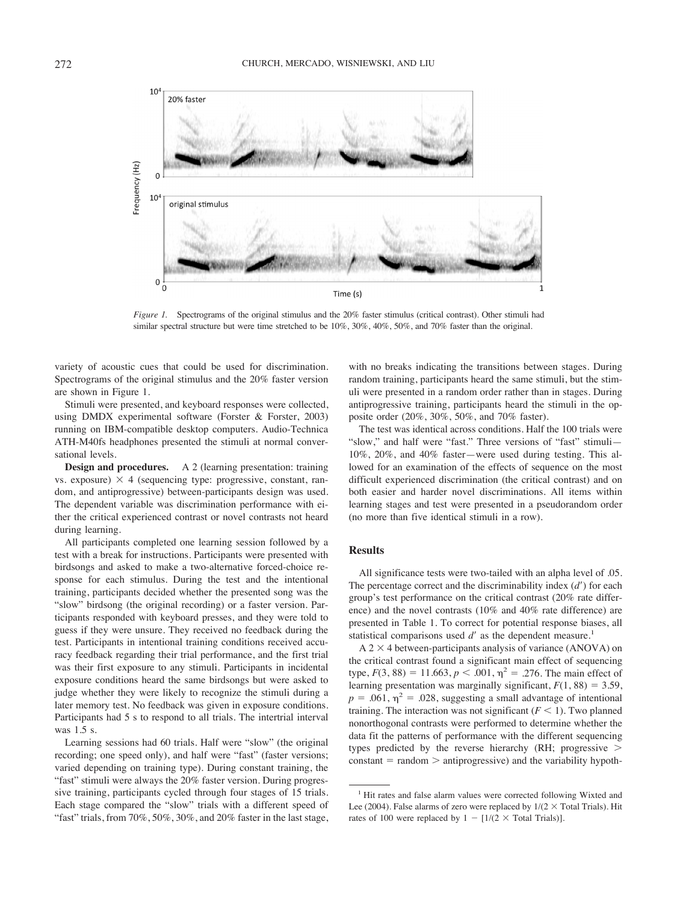

*Figure 1.* Spectrograms of the original stimulus and the 20% faster stimulus (critical contrast). Other stimuli had similar spectral structure but were time stretched to be  $10\%$ ,  $30\%$ ,  $40\%$ ,  $50\%$ , and  $70\%$  faster than the original.

variety of acoustic cues that could be used for discrimination. Spectrograms of the original stimulus and the 20% faster version are shown in Figure 1.

Stimuli were presented, and keyboard responses were collected, using DMDX experimental software (Forster & Forster, 2003) running on IBM-compatible desktop computers. Audio-Technica ATH-M40fs headphones presented the stimuli at normal conversational levels.

**Design and procedures.** A 2 (learning presentation: training vs. exposure)  $\times$  4 (sequencing type: progressive, constant, random, and antiprogressive) between-participants design was used. The dependent variable was discrimination performance with either the critical experienced contrast or novel contrasts not heard during learning.

All participants completed one learning session followed by a test with a break for instructions. Participants were presented with birdsongs and asked to make a two-alternative forced-choice response for each stimulus. During the test and the intentional training, participants decided whether the presented song was the "slow" birdsong (the original recording) or a faster version. Participants responded with keyboard presses, and they were told to guess if they were unsure. They received no feedback during the test. Participants in intentional training conditions received accuracy feedback regarding their trial performance, and the first trial was their first exposure to any stimuli. Participants in incidental exposure conditions heard the same birdsongs but were asked to judge whether they were likely to recognize the stimuli during a later memory test. No feedback was given in exposure conditions. Participants had 5 s to respond to all trials. The intertrial interval was 1.5 s.

Learning sessions had 60 trials. Half were "slow" (the original recording; one speed only), and half were "fast" (faster versions; varied depending on training type). During constant training, the "fast" stimuli were always the 20% faster version. During progressive training, participants cycled through four stages of 15 trials. Each stage compared the "slow" trials with a different speed of "fast" trials, from  $70\%$ ,  $50\%$ ,  $30\%$ , and  $20\%$  faster in the last stage,

with no breaks indicating the transitions between stages. During random training, participants heard the same stimuli, but the stimuli were presented in a random order rather than in stages. During antiprogressive training, participants heard the stimuli in the opposite order (20%, 30%, 50%, and 70% faster).

The test was identical across conditions. Half the 100 trials were "slow," and half were "fast." Three versions of "fast" stimuli— 10%, 20%, and 40% faster—were used during testing. This allowed for an examination of the effects of sequence on the most difficult experienced discrimination (the critical contrast) and on both easier and harder novel discriminations. All items within learning stages and test were presented in a pseudorandom order (no more than five identical stimuli in a row).

# **Results**

All significance tests were two-tailed with an alpha level of .05. The percentage correct and the discriminability index (*d*") for each group's test performance on the critical contrast (20% rate difference) and the novel contrasts (10% and 40% rate difference) are presented in Table 1. To correct for potential response biases, all statistical comparisons used  $d'$  as the dependent measure.<sup>1</sup>

 $A$  2  $\times$  4 between-participants analysis of variance (ANOVA) on the critical contrast found a significant main effect of sequencing type,  $F(3, 88) = 11.663$ ,  $p < .001$ ,  $\eta^2 = .276$ . The main effect of learning presentation was marginally significant,  $F(1, 88) = 3.59$ ,  $p = .061$ ,  $\eta^2 = .028$ , suggesting a small advantage of intentional training. The interaction was not significant  $(F < 1)$ . Two planned nonorthogonal contrasts were performed to determine whether the data fit the patterns of performance with the different sequencing types predicted by the reverse hierarchy (RH; progressive  $\geq$ constant  $=$  random  $>$  antiprogressive) and the variability hypoth-

<sup>&</sup>lt;sup>1</sup> Hit rates and false alarm values were corrected following Wixted and Lee (2004). False alarms of zero were replaced by  $1/(2 \times$  Total Trials). Hit rates of 100 were replaced by  $1 - [1/(2 \times \text{Total trials})]$ .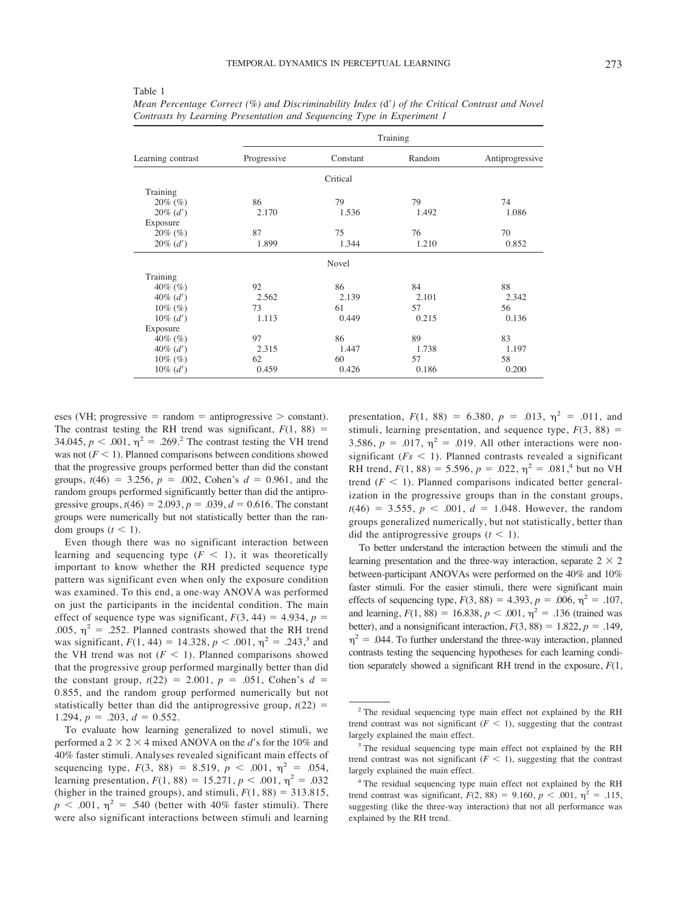|                   | Training    |          |        |                 |
|-------------------|-------------|----------|--------|-----------------|
| Learning contrast | Progressive | Constant | Random | Antiprogressive |
|                   |             | Critical |        |                 |
| Training          |             |          |        |                 |
| $20\%$ (%)        | 86          | 79       | 79     | 74              |
| $20\%$ (d')       | 2.170       | 1.536    | 1.492  | 1.086           |
| Exposure          |             |          |        |                 |
| $20\%$ (%)        | 87          | 75       | 76     | 70              |
| $20\%$ (d')       | 1.899       | 1.344    | 1.210  | 0.852           |
|                   |             | Novel    |        |                 |
| Training          |             |          |        |                 |
| $40\%$ (%)        | 92          | 86       | 84     | 88              |
| $40\%$ (d')       | 2.562       | 2.139    | 2.101  | 2.342           |
| $10\%$ (%)        | 73          | 61       | 57     | 56              |
| $10\% (d')$       | 1.113       | 0.449    | 0.215  | 0.136           |
| Exposure          |             |          |        |                 |
| $40\%$ (%)        | 97          | 86       | 89     | 83              |
| $40\%$ (d')       | 2.315       | 1.447    | 1.738  | 1.197           |
| $10\%$ (%)        | 62          | 60       | 57     | 58              |
| $10\% (d')$       | 0.459       | 0.426    | 0.186  | 0.200           |

*Mean Percentage Correct (%) and Discriminability Index (*d"*) of the Critical Contrast and Novel Contrasts by Learning Presentation and Sequencing Type in Experiment 1*

eses (VH; progressive  $=$  random  $=$  antiprogressive  $>$  constant). The contrast testing the RH trend was significant,  $F(1, 88) =$ 34.045,  $p < .001$ ,  $\eta^2 = .269$ .<sup>2</sup> The contrast testing the VH trend was not  $(F < 1)$ . Planned comparisons between conditions showed that the progressive groups performed better than did the constant groups,  $t(46) = 3.256$ ,  $p = .002$ , Cohen's  $d = 0.961$ , and the random groups performed significantly better than did the antiprogressive groups,  $t(46) = 2.093$ ,  $p = .039$ ,  $d = 0.616$ . The constant groups were numerically but not statistically better than the random groups  $(t < 1)$ .

Even though there was no significant interaction between learning and sequencing type  $(F < 1)$ , it was theoretically important to know whether the RH predicted sequence type pattern was significant even when only the exposure condition was examined. To this end, a one-way ANOVA was performed on just the participants in the incidental condition. The main effect of sequence type was significant,  $F(3, 44) = 4.934$ ,  $p =$ .005,  $\eta^2$  = .252. Planned contrasts showed that the RH trend was significant,  $F(1, 44) = 14.328$ ,  $p < .001$ ,  $\eta^2 = .243$ ,<sup>3</sup> and the VH trend was not  $(F \leq 1)$ . Planned comparisons showed that the progressive group performed marginally better than did the constant group,  $t(22) = 2.001$ ,  $p = .051$ , Cohen's  $d =$ 0.855, and the random group performed numerically but not statistically better than did the antiprogressive group,  $t(22)$  = 1.294,  $p = .203$ ,  $d = 0.552$ .

To evaluate how learning generalized to novel stimuli, we performed a  $2 \times 2 \times 4$  mixed ANOVA on the *d*'s for the 10% and 40% faster stimuli. Analyses revealed significant main effects of sequencing type,  $F(3, 88) = 8.519$ ,  $p < .001$ ,  $\eta^2 = .054$ , learning presentation,  $F(1, 88) = 15.271$ ,  $p < .001$ ,  $\eta^2 = .032$ (higher in the trained groups), and stimuli,  $F(1, 88) = 313.815$ ,  $p < .001$ ,  $\eta^2 = .540$  (better with 40% faster stimuli). There were also significant interactions between stimuli and learning

presentation,  $F(1, 88) = 6.380$ ,  $p = .013$ ,  $\eta^2 = .011$ , and stimuli, learning presentation, and sequence type,  $F(3, 88) =$ 3.586,  $p = .017$ ,  $\eta^2 = .019$ . All other interactions were nonsignificant  $(Fs < 1)$ . Planned contrasts revealed a significant RH trend,  $F(1, 88) = 5.596$ ,  $p = .022$ ,  $\eta^2 = .081$ ,<sup>4</sup> but no VH trend  $(F < 1)$ . Planned comparisons indicated better generalization in the progressive groups than in the constant groups,  $t(46) = 3.555, p < .001, d = 1.048$ . However, the random groups generalized numerically, but not statistically, better than did the antiprogressive groups  $(t < 1)$ .

To better understand the interaction between the stimuli and the learning presentation and the three-way interaction, separate  $2 \times 2$ between-participant ANOVAs were performed on the 40% and 10% faster stimuli. For the easier stimuli, there were significant main effects of sequencing type,  $F(3, 88) = 4.393$ ,  $p = .006$ ,  $\eta^2 = .107$ , and learning,  $F(1, 88) = 16.838, p < .001, \eta^2 = .136$  (trained was better), and a nonsignificant interaction,  $F(3, 88) = 1.822$ ,  $p = .149$ ,  $\eta^2$  = .044. To further understand the three-way interaction, planned contrasts testing the sequencing hypotheses for each learning condition separately showed a significant RH trend in the exposure, *F*(1,

<sup>2</sup> The residual sequencing type main effect not explained by the RH trend contrast was not significant  $(F < 1)$ , suggesting that the contrast largely explained the main effect.

<sup>&</sup>lt;sup>3</sup> The residual sequencing type main effect not explained by the RH trend contrast was not significant  $(F \leq 1)$ , suggesting that the contrast largely explained the main effect.

<sup>4</sup> The residual sequencing type main effect not explained by the RH trend contrast was significant,  $F(2, 88) = 9.160$ ,  $p < .001$ ,  $\eta^2 = .115$ , suggesting (like the three-way interaction) that not all performance was explained by the RH trend.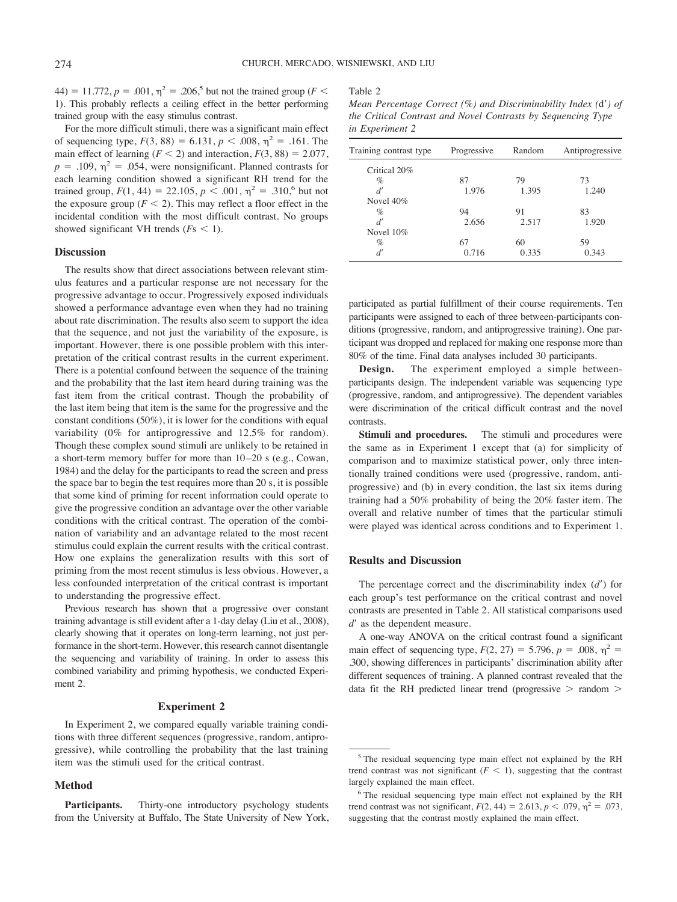44) = 11.772,  $p = .001$ ,  $\eta^2 = .206$ ,<sup>5</sup> but not the trained group (*F* < 1). This probably reflects a ceiling effect in the better performing trained group with the easy stimulus contrast.

For the more difficult stimuli, there was a significant main effect of sequencing type,  $F(3, 88) = 6.131$ ,  $p < .008$ ,  $\eta^2 = .161$ . The main effect of learning  $(F < 2)$  and interaction,  $F(3, 88) = 2.077$ ,  $p = .109$ ,  $\eta^2 = .054$ , were nonsignificant. Planned contrasts for each learning condition showed a significant RH trend for the trained group,  $F(1, 44) = 22.105$ ,  $p < .001$ ,  $\eta^2 = .310$ , but not the exposure group  $(F < 2)$ . This may reflect a floor effect in the incidental condition with the most difficult contrast. No groups showed significant VH trends  $(Fs \leq 1)$ .

#### **Discussion**

The results show that direct associations between relevant stimulus features and a particular response are not necessary for the progressive advantage to occur. Progressively exposed individuals showed a performance advantage even when they had no training about rate discrimination. The results also seem to support the idea that the sequence, and not just the variability of the exposure, is important. However, there is one possible problem with this interpretation of the critical contrast results in the current experiment. There is a potential confound between the sequence of the training and the probability that the last item heard during training was the fast item from the critical contrast. Though the probability of the last item being that item is the same for the progressive and the constant conditions (50%), it is lower for the conditions with equal variability (0% for antiprogressive and 12.5% for random). Though these complex sound stimuli are unlikely to be retained in a short-term memory buffer for more than 10 –20 s (e.g., Cowan, 1984) and the delay for the participants to read the screen and press the space bar to begin the test requires more than 20 s, it is possible that some kind of priming for recent information could operate to give the progressive condition an advantage over the other variable conditions with the critical contrast. The operation of the combination of variability and an advantage related to the most recent stimulus could explain the current results with the critical contrast. How one explains the generalization results with this sort of priming from the most recent stimulus is less obvious. However, a less confounded interpretation of the critical contrast is important to understanding the progressive effect.

Previous research has shown that a progressive over constant training advantage is still evident after a 1-day delay (Liu et al., 2008), clearly showing that it operates on long-term learning, not just performance in the short-term. However, this research cannot disentangle the sequencing and variability of training. In order to assess this combined variability and priming hypothesis, we conducted Experiment 2.

# **Experiment 2**

In Experiment 2, we compared equally variable training conditions with three different sequences (progressive, random, antiprogressive), while controlling the probability that the last training item was the stimuli used for the critical contrast.

### **Method**

**Participants.** Thirty-one introductory psychology students from the University at Buffalo, The State University of New York, Table 2

*Mean Percentage Correct (%) and Discriminability Index (*d"*) of the Critical Contrast and Novel Contrasts by Sequencing Type in Experiment 2*

| Training contrast type | Progressive | Random | Antiprogressive |
|------------------------|-------------|--------|-----------------|
| Critical 20%           |             |        |                 |
| $\%$                   | 87          | 79     | 73              |
| d'                     | 1.976       | 1.395  | 1.240           |
| Novel $40\%$           |             |        |                 |
| $\%$                   | 94          | 91     | 83              |
| d'                     | 2.656       | 2.517  | 1.920           |
| Novel $10\%$           |             |        |                 |
| $\%$                   | 67          | 60     | 59              |
| d'                     | 0.716       | 0.335  | 0.343           |

participated as partial fulfillment of their course requirements. Ten participants were assigned to each of three between-participants conditions (progressive, random, and antiprogressive training). One participant was dropped and replaced for making one response more than 80% of the time. Final data analyses included 30 participants.

**Design.** The experiment employed a simple betweenparticipants design. The independent variable was sequencing type (progressive, random, and antiprogressive). The dependent variables were discrimination of the critical difficult contrast and the novel contrasts.

**Stimuli and procedures.** The stimuli and procedures were the same as in Experiment 1 except that (a) for simplicity of comparison and to maximize statistical power, only three intentionally trained conditions were used (progressive, random, antiprogressive) and (b) in every condition, the last six items during training had a 50% probability of being the 20% faster item. The overall and relative number of times that the particular stimuli were played was identical across conditions and to Experiment 1.

## **Results and Discussion**

The percentage correct and the discriminability index (*d*") for each group's test performance on the critical contrast and novel contrasts are presented in Table 2. All statistical comparisons used *d*" as the dependent measure.

A one-way ANOVA on the critical contrast found a significant main effect of sequencing type,  $F(2, 27) = 5.796$ ,  $p = .008$ ,  $\eta^2 =$ .300, showing differences in participants' discrimination ability after different sequences of training. A planned contrast revealed that the data fit the RH predicted linear trend (progressive  $>$  random  $>$ 

<sup>5</sup> The residual sequencing type main effect not explained by the RH trend contrast was not significant  $(F < 1)$ , suggesting that the contrast largely explained the main effect.

<sup>6</sup> The residual sequencing type main effect not explained by the RH trend contrast was not significant,  $F(2, 44) = 2.613$ ,  $p < .079$ ,  $\eta^2 = .073$ , suggesting that the contrast mostly explained the main effect.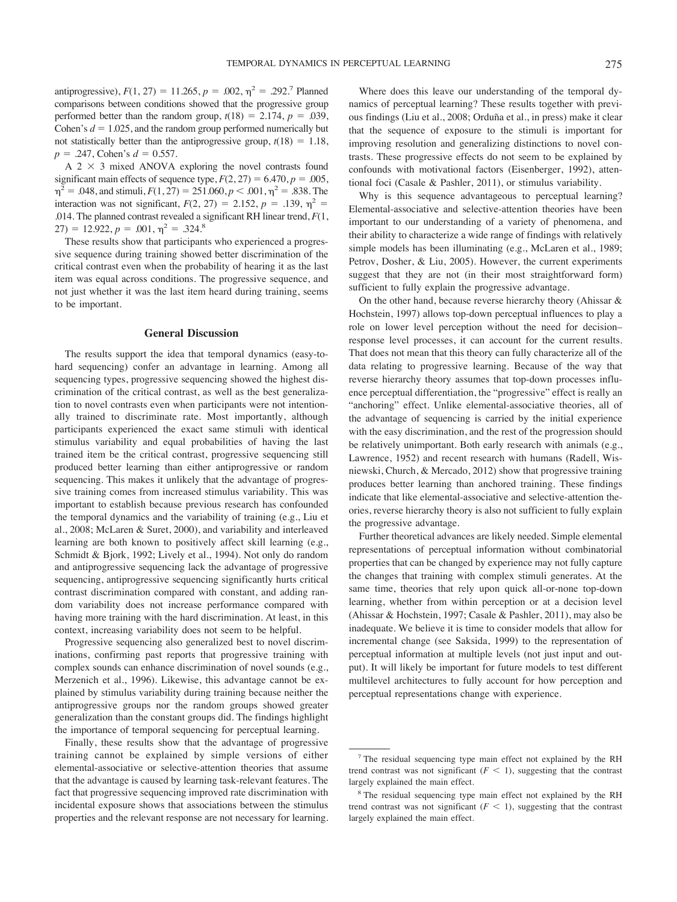antiprogressive),  $F(1, 27) = 11.265$ ,  $p = .002$ ,  $\eta^2 = .292$ .<sup>7</sup> Planned comparisons between conditions showed that the progressive group performed better than the random group,  $t(18) = 2.174$ ,  $p = .039$ , Cohen's  $d = 1.025$ , and the random group performed numerically but not statistically better than the antiprogressive group,  $t(18) = 1.18$ ,  $p = .247$ , Cohen's  $d = 0.557$ .

A  $2 \times 3$  mixed ANOVA exploring the novel contrasts found significant main effects of sequence type,  $F(2, 27) = 6.470$ ,  $p = .005$ ,  $\eta^2$  = .048, and stimuli,  $F(1, 27) = 251.060$ ,  $p < .001$ ,  $\eta^2$  = .838. The interaction was not significant,  $F(2, 27) = 2.152$ ,  $p = .139$ ,  $\eta^2 =$ .014. The planned contrast revealed a significant RH linear trend, *F*(1, 27) = 12.922,  $p = .001$ ,  $\eta^2 = .324$ .<sup>8</sup>

These results show that participants who experienced a progressive sequence during training showed better discrimination of the critical contrast even when the probability of hearing it as the last item was equal across conditions. The progressive sequence, and not just whether it was the last item heard during training, seems to be important.

#### **General Discussion**

The results support the idea that temporal dynamics (easy-tohard sequencing) confer an advantage in learning. Among all sequencing types, progressive sequencing showed the highest discrimination of the critical contrast, as well as the best generalization to novel contrasts even when participants were not intentionally trained to discriminate rate. Most importantly, although participants experienced the exact same stimuli with identical stimulus variability and equal probabilities of having the last trained item be the critical contrast, progressive sequencing still produced better learning than either antiprogressive or random sequencing. This makes it unlikely that the advantage of progressive training comes from increased stimulus variability. This was important to establish because previous research has confounded the temporal dynamics and the variability of training (e.g., Liu et al., 2008; McLaren & Suret, 2000), and variability and interleaved learning are both known to positively affect skill learning (e.g., Schmidt & Bjork, 1992; Lively et al., 1994). Not only do random and antiprogressive sequencing lack the advantage of progressive sequencing, antiprogressive sequencing significantly hurts critical contrast discrimination compared with constant, and adding random variability does not increase performance compared with having more training with the hard discrimination. At least, in this context, increasing variability does not seem to be helpful.

Progressive sequencing also generalized best to novel discriminations, confirming past reports that progressive training with complex sounds can enhance discrimination of novel sounds (e.g., Merzenich et al., 1996). Likewise, this advantage cannot be explained by stimulus variability during training because neither the antiprogressive groups nor the random groups showed greater generalization than the constant groups did. The findings highlight the importance of temporal sequencing for perceptual learning.

Finally, these results show that the advantage of progressive training cannot be explained by simple versions of either elemental-associative or selective-attention theories that assume that the advantage is caused by learning task-relevant features. The fact that progressive sequencing improved rate discrimination with incidental exposure shows that associations between the stimulus properties and the relevant response are not necessary for learning.

Where does this leave our understanding of the temporal dynamics of perceptual learning? These results together with previous findings (Liu et al., 2008; Orduña et al., in press) make it clear that the sequence of exposure to the stimuli is important for improving resolution and generalizing distinctions to novel contrasts. These progressive effects do not seem to be explained by confounds with motivational factors (Eisenberger, 1992), attentional foci (Casale & Pashler, 2011), or stimulus variability.

Why is this sequence advantageous to perceptual learning? Elemental-associative and selective-attention theories have been important to our understanding of a variety of phenomena, and their ability to characterize a wide range of findings with relatively simple models has been illuminating (e.g., McLaren et al., 1989; Petrov, Dosher, & Liu, 2005). However, the current experiments suggest that they are not (in their most straightforward form) sufficient to fully explain the progressive advantage.

On the other hand, because reverse hierarchy theory (Ahissar & Hochstein, 1997) allows top-down perceptual influences to play a role on lower level perception without the need for decision– response level processes, it can account for the current results. That does not mean that this theory can fully characterize all of the data relating to progressive learning. Because of the way that reverse hierarchy theory assumes that top-down processes influence perceptual differentiation, the "progressive" effect is really an "anchoring" effect. Unlike elemental-associative theories, all of the advantage of sequencing is carried by the initial experience with the easy discrimination, and the rest of the progression should be relatively unimportant. Both early research with animals (e.g., Lawrence, 1952) and recent research with humans (Radell, Wisniewski, Church, & Mercado, 2012) show that progressive training produces better learning than anchored training. These findings indicate that like elemental-associative and selective-attention theories, reverse hierarchy theory is also not sufficient to fully explain the progressive advantage.

Further theoretical advances are likely needed. Simple elemental representations of perceptual information without combinatorial properties that can be changed by experience may not fully capture the changes that training with complex stimuli generates. At the same time, theories that rely upon quick all-or-none top-down learning, whether from within perception or at a decision level (Ahissar & Hochstein, 1997; Casale & Pashler, 2011), may also be inadequate. We believe it is time to consider models that allow for incremental change (see Saksida, 1999) to the representation of perceptual information at multiple levels (not just input and output). It will likely be important for future models to test different multilevel architectures to fully account for how perception and perceptual representations change with experience.

<sup>7</sup> The residual sequencing type main effect not explained by the RH trend contrast was not significant  $(F < 1)$ , suggesting that the contrast largely explained the main effect.

<sup>8</sup> The residual sequencing type main effect not explained by the RH trend contrast was not significant  $(F < 1)$ , suggesting that the contrast largely explained the main effect.